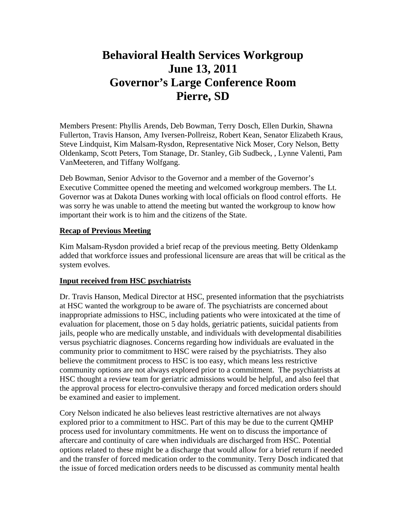# **Behavioral Health Services Workgroup June 13, 2011 Governor's Large Conference Room Pierre, SD**

Members Present: Phyllis Arends, Deb Bowman, Terry Dosch, Ellen Durkin, Shawna Fullerton, Travis Hanson, Amy Iversen-Pollreisz, Robert Kean, Senator Elizabeth Kraus, Steve Lindquist, Kim Malsam-Rysdon, Representative Nick Moser, Cory Nelson, Betty Oldenkamp, Scott Peters, Tom Stanage, Dr. Stanley, Gib Sudbeck, , Lynne Valenti, Pam VanMeeteren, and Tiffany Wolfgang.

Deb Bowman, Senior Advisor to the Governor and a member of the Governor's Executive Committee opened the meeting and welcomed workgroup members. The Lt. Governor was at Dakota Dunes working with local officials on flood control efforts. He was sorry he was unable to attend the meeting but wanted the workgroup to know how important their work is to him and the citizens of the State.

#### **Recap of Previous Meeting**

Kim Malsam-Rysdon provided a brief recap of the previous meeting. Betty Oldenkamp added that workforce issues and professional licensure are areas that will be critical as the system evolves.

## **Input received from HSC psychiatrists**

Dr. Travis Hanson, Medical Director at HSC, presented information that the psychiatrists at HSC wanted the workgroup to be aware of. The psychiatrists are concerned about inappropriate admissions to HSC, including patients who were intoxicated at the time of evaluation for placement, those on 5 day holds, geriatric patients, suicidal patients from jails, people who are medically unstable, and individuals with developmental disabilities versus psychiatric diagnoses. Concerns regarding how individuals are evaluated in the community prior to commitment to HSC were raised by the psychiatrists. They also believe the commitment process to HSC is too easy, which means less restrictive community options are not always explored prior to a commitment. The psychiatrists at HSC thought a review team for geriatric admissions would be helpful, and also feel that the approval process for electro-convulsive therapy and forced medication orders should be examined and easier to implement.

Cory Nelson indicated he also believes least restrictive alternatives are not always explored prior to a commitment to HSC. Part of this may be due to the current QMHP process used for involuntary commitments. He went on to discuss the importance of aftercare and continuity of care when individuals are discharged from HSC. Potential options related to these might be a discharge that would allow for a brief return if needed and the transfer of forced medication order to the community. Terry Dosch indicated that the issue of forced medication orders needs to be discussed as community mental health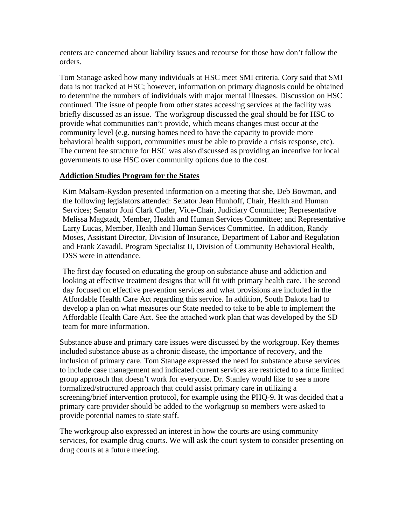centers are concerned about liability issues and recourse for those how don't follow the orders.

Tom Stanage asked how many individuals at HSC meet SMI criteria. Cory said that SMI data is not tracked at HSC; however, information on primary diagnosis could be obtained to determine the numbers of individuals with major mental illnesses. Discussion on HSC continued. The issue of people from other states accessing services at the facility was briefly discussed as an issue. The workgroup discussed the goal should be for HSC to provide what communities can't provide, which means changes must occur at the community level (e.g. nursing homes need to have the capacity to provide more behavioral health support, communities must be able to provide a crisis response, etc). The current fee structure for HSC was also discussed as providing an incentive for local governments to use HSC over community options due to the cost.

#### **Addiction Studies Program for the States**

Kim Malsam-Rysdon presented information on a meeting that she, Deb Bowman, and the following legislators attended: Senator Jean Hunhoff, Chair, Health and Human Services; Senator Joni Clark Cutler, Vice-Chair, Judiciary Committee; Representative Melissa Magstadt, Member, Health and Human Services Committee; and Representative Larry Lucas, Member, Health and Human Services Committee. In addition, Randy Moses, Assistant Director, Division of Insurance, Department of Labor and Regulation and Frank Zavadil, Program Specialist II, Division of Community Behavioral Health, DSS were in attendance.

The first day focused on educating the group on substance abuse and addiction and looking at effective treatment designs that will fit with primary health care. The second day focused on effective prevention services and what provisions are included in the Affordable Health Care Act regarding this service. In addition, South Dakota had to develop a plan on what measures our State needed to take to be able to implement the Affordable Health Care Act. See the attached work plan that was developed by the SD team for more information.

Substance abuse and primary care issues were discussed by the workgroup. Key themes included substance abuse as a chronic disease, the importance of recovery, and the inclusion of primary care. Tom Stanage expressed the need for substance abuse services to include case management and indicated current services are restricted to a time limited group approach that doesn't work for everyone. Dr. Stanley would like to see a more formalized/structured approach that could assist primary care in utilizing a screening/brief intervention protocol, for example using the PHQ-9. It was decided that a primary care provider should be added to the workgroup so members were asked to provide potential names to state staff.

The workgroup also expressed an interest in how the courts are using community services, for example drug courts. We will ask the court system to consider presenting on drug courts at a future meeting.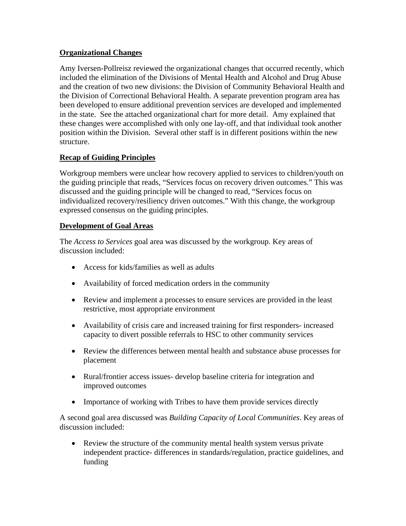## **Organizational Changes**

Amy Iversen-Pollreisz reviewed the organizational changes that occurred recently, which included the elimination of the Divisions of Mental Health and Alcohol and Drug Abuse and the creation of two new divisions: the Division of Community Behavioral Health and the Division of Correctional Behavioral Health. A separate prevention program area has been developed to ensure additional prevention services are developed and implemented in the state. See the attached organizational chart for more detail. Amy explained that these changes were accomplished with only one lay-off, and that individual took another position within the Division. Several other staff is in different positions within the new structure.

# **Recap of Guiding Principles**

Workgroup members were unclear how recovery applied to services to children/youth on the guiding principle that reads, "Services focus on recovery driven outcomes." This was discussed and the guiding principle will be changed to read, "Services focus on individualized recovery/resiliency driven outcomes." With this change, the workgroup expressed consensus on the guiding principles.

## **Development of Goal Areas**

The *Access to Services* goal area was discussed by the workgroup. Key areas of discussion included:

- Access for kids/families as well as adults
- Availability of forced medication orders in the community
- Review and implement a processes to ensure services are provided in the least restrictive, most appropriate environment
- Availability of crisis care and increased training for first responders- increased capacity to divert possible referrals to HSC to other community services
- Review the differences between mental health and substance abuse processes for placement
- Rural/frontier access issues- develop baseline criteria for integration and improved outcomes
- Importance of working with Tribes to have them provide services directly

A second goal area discussed was *Building Capacity of Local Communities*. Key areas of discussion included:

 Review the structure of the community mental health system versus private independent practice- differences in standards/regulation, practice guidelines, and funding